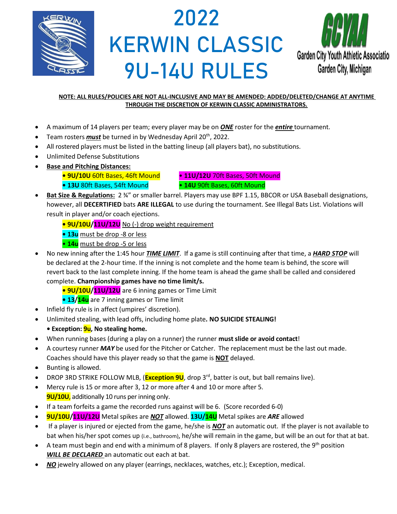

# 2022 KERWIN CLASSIC 9U-14U RULES



#### **NOTE: ALL RULES/POLICIES ARE NOT ALL-INCLUSIVE AND MAY BE AMENDED: ADDED/DELETED/CHANGE AT ANYTIME THROUGH THE DISCRETION OF KERWIN CLASSIC ADMINISTRATORS.**

- A maximum of 14 players per team; every player may be on *ONE* roster for the *entire* tournament.
- Team rosters *must* be turned in by Wednesday April 20<sup>th</sup>, 2022.
- All rostered players must be listed in the batting lineup (all players bat), no substitutions.
- Unlimited Defense Substitutions
- **Base and Pitching Distances:**
	- **9U/10U** 60ft Bases, 46ft Mound **11U/12U** 70ft Bases, 50ft Mound

**• 13U** 80ft Bases, 54ft Mound • **14U** 90ft Bases, 60ft Mound

- **Bat Size & Regulations:** 2 ¾" or smaller barrel. Players may use BPF 1.15, BBCOR or USA Baseball designations, however, all **DECERTIFIED** bats **ARE ILLEGAL** to use during the tournament. See Illegal Bats List. Violations will result in player and/or coach ejections.
	- **• 9U/10U/11U/12U** No (-) drop weight requirement
	- **13u** must be drop -8 or less
	- **14u** must be drop -5 or less
- No new inning after the 1:45 hour *TIME LIMIT*. If a game is still continuing after that time, a *HARD STOP* will be declared at the 2-hour time. If the inning is not complete and the home team is behind, the score will revert back to the last complete inning. If the home team is ahead the game shall be called and considered complete. **Championship games have no time limit/s.**
	- **• 9U/10U/11U/12U** are 6 inning games or Time Limit
	- **13/14u** are 7 inning games or Time limit
- Infield fly rule is in affect (umpires' discretion).
- Unlimited stealing, with lead offs, including home plate**. NO SUICIDE STEALING!**
- **Exception: 9u, No stealing home.**
- When running bases (during a play on a runner) the runner **must slide or avoid contact**!
- A courtesy runner *MAY* be used for the Pitcher or Catcher. The replacement must be the last out made. Coaches should have this player ready so that the game is **NOT** delayed.
- Bunting is allowed.
- DROP 3RD STRIKE FOLLOW MLB, (**Exception 9U**, drop 3<sup>rd</sup>, batter is out, but ball remains live).
- Mercy rule is 15 or more after 3, 12 or more after 4 and 10 or more after 5. **9U/10U**, additionally 10 runs per inning only.
- If a team forfeits a game the recorded runs against will be 6. (Score recorded 6-0)
- **9U/10U/11U/12U** Metal spikes are *NOT* allowed. **13U/14U** Metal spikes are *ARE* allowed
- If a player is injured or ejected from the game, he/she is *NOT* an automatic out. If the player is not available to bat when his/her spot comes up (i.e., bathroom), he/she will remain in the game, but will be an out for that at bat.
- A team must begin and end with a minimum of 8 players. If only 8 players are rostered, the 9<sup>th</sup> position *WILL BE DECLARED* an automatic out each at bat.
- *NO* jewelry allowed on any player (earrings, necklaces, watches, etc.); Exception, medical.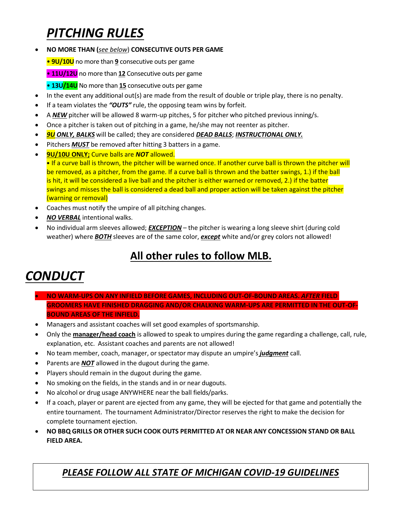## *PITCHING RULES*

• **NO MORE THAN (***see below*) **CONSECUTIVE OUTS PER GAME**

• **9U/10U** no more than **9** consecutive outs per game

• **11U/12U** no more than **12** Consecutive outs per game

• **13U/14U** No more than **15** consecutive outs per game

- In the event any additional out(s) are made from the result of double or triple play, there is no penalty.
- If a team violates the *"OUTS"* rule, the opposing team wins by forfeit.
- A **NEW** pitcher will be allowed 8 warm-up pitches, 5 for pitcher who pitched previous inning/s.
- Once a pitcher is taken out of pitching in a game, he/she may not reenter as pitcher.
- *9U ONLY, BALKS* will be called; they are considered *DEAD BALLS*; *INSTRUCTIONAL ONLY.*
- Pitchers **MUST** be removed after hitting 3 batters in a game.
- **9U/10U ONLY;** Curve balls are *NOT* allowed. • If a curve ball is thrown, the pitcher will be warned once. If another curve ball is thrown the pitcher will be removed, as a pitcher, from the game. If a curve ball is thrown and the batter swings, 1.) if the ball is hit, it will be considered a live ball and the pitcher is either warned or removed, 2.) if the batter swings and misses the ball is considered a dead ball and proper action will be taken against the pitcher (warning or removal)
- Coaches must notify the umpire of all pitching changes.
- *NO VERBAL* intentional walks.
- No individual arm sleeves allowed; *EXCEPTION* the pitcher is wearing a long sleeve shirt (during cold weather) where *BOTH* sleeves are of the same color, *except* white and/or grey colors not allowed!

### **All other rules to follow MLB.**

## *CONDUCT*

- **NO WARM-UPS ON ANY INFIELD BEFORE GAMES, INCLUDING OUT-OF-BOUND AREAS.** *AFTER* **FIELD GROOMERS HAVE FINISHED DRAGGING AND/OR CHALKING WARM-UPS ARE PERMITTED IN THE OUT-OF-BOUND AREAS OF THE INFIELD.**
- Managers and assistant coaches will set good examples of sportsmanship.
- Only the **manager/head coach** is allowed to speak to umpires during the game regarding a challenge, call, rule, explanation, etc. Assistant coaches and parents are not allowed!
- No team member, coach, manager, or spectator may dispute an umpire's *judgment* call.
- Parents are **NOT** allowed in the dugout during the game.
- Players should remain in the dugout during the game.
- No smoking on the fields, in the stands and in or near dugouts.
- No alcohol or drug usage ANYWHERE near the ball fields/parks.
- If a coach, player or parent are ejected from any game, they will be ejected for that game and potentially the entire tournament. The tournament Administrator/Director reserves the right to make the decision for complete tournament ejection.
- **NO BBQ GRILLS OR OTHER SUCH COOK OUTS PERMITTED AT OR NEAR ANY CONCESSION STAND OR BALL FIELD AREA.**

#### *PLEASE FOLLOW ALL STATE OF MICHIGAN COVID-19 GUIDELINES*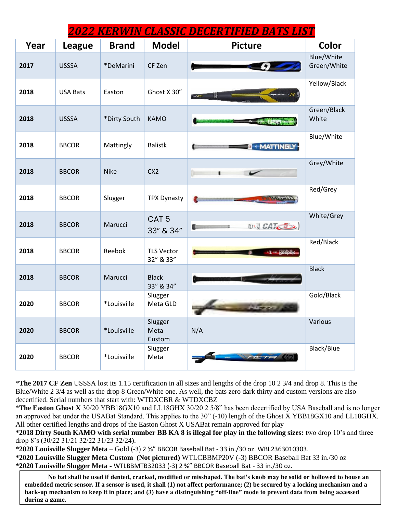| <u> 2022 KERWIN CLASSIC DECERTIFIED BATS LIST</u> |                 |              |                                |                  |                           |  |  |  |  |
|---------------------------------------------------|-----------------|--------------|--------------------------------|------------------|---------------------------|--|--|--|--|
| Year                                              | <b>League</b>   | <b>Brand</b> | <b>Model</b>                   | <b>Picture</b>   | Color                     |  |  |  |  |
| 2017                                              | <b>USSSA</b>    | *DeMarini    | CF Zen                         |                  | Blue/White<br>Green/White |  |  |  |  |
| 2018                                              | <b>USA Bats</b> | Easton       | Ghost X 30"                    | $7 - 10$         | Yellow/Black              |  |  |  |  |
| 2018                                              | <b>USSSA</b>    | *Dirty South | <b>KAMO</b>                    |                  | Green/Black<br>White      |  |  |  |  |
| 2018                                              | <b>BBCOR</b>    | Mattingly    | <b>Balistk</b>                 | <b>MATTINGLY</b> | Blue/White                |  |  |  |  |
| 2018                                              | <b>BBCOR</b>    | <b>Nike</b>  | CX <sub>2</sub>                |                  | Grey/White                |  |  |  |  |
| 2018                                              | <b>BBCOR</b>    | Slugger      | <b>TPX Dynasty</b>             |                  | Red/Grey                  |  |  |  |  |
| 2018                                              | <b>BBCOR</b>    | Marucci      | CAT <sub>5</sub><br>33" & 34"  | <b>(b)</b> CAT 5 | White/Grey                |  |  |  |  |
| 2018                                              | <b>BBCOR</b>    | Reebok       | <b>TLS Vector</b><br>32" & 33" | $-2 - k$ 6600    | Red/Black                 |  |  |  |  |
| 2018                                              | <b>BBCOR</b>    | Marucci      | <b>Black</b><br>33" & 34"      |                  | <b>Black</b>              |  |  |  |  |
| 2020                                              | <b>BBCOR</b>    | *Louisville  | Slugger<br>Meta GLD            |                  | Gold/Black                |  |  |  |  |
| 2020                                              | <b>BBCOR</b>    | *Louisville  | Slugger<br>Meta<br>Custom      | N/A              | Various                   |  |  |  |  |
| 2020                                              | <b>BBCOR</b>    | *Louisville  | Slugger<br>Meta                | METH (17)        | Black/Blue                |  |  |  |  |

\***The 2017 CF Zen** USSSA lost its 1.15 certification in all sizes and lengths of the drop 10 2 3/4 and drop 8. This is the Blue/White 2 3/4 as well as the drop 8 Green/White one. As well, the bats zero dark thirty and custom versions are also decertified. Serial numbers that start with: WTDXCBR & WTDXCBZ

\***The Easton Ghost X** 30/20 YBB18GX10 and LL18GHX 30/20 2 5/8" has been decertified by USA Baseball and is no longer an approved bat under the USABat Standard. This applies to the 30" (-10) length of the Ghost X YBB18GX10 and LL18GHX. All other certified lengths and drops of the Easton Ghost X USABat remain approved for play

**\*2018 Dirty South KAMO with serial number BB KA 8 is illegal for play in the following sizes:** two drop 10's and three drop 8's (30/22 31/21 32/22 31/23 32/24).

**\*2020 Louisville Slugger Meta** – Gold (-3) 2 ⅝" BBCOR Baseball Bat - 33 in./30 oz. WBL2363010303. **\*2020 Louisville Slugger Meta Custom (Not pictured)** WTLCBBMP20V (-3) BBCOR Baseball Bat 33 in./30 oz **\*2020 Louisville Slugger Meta -** WTLBBMTB32033 (-3) 2 ⅝" BBCOR Baseball Bat - 33 in./30 oz.

**No bat shall be used if dented, cracked, modified or misshaped. The bat's knob may be solid or hollowed to house an embedded metric sensor. If a sensor is used, it shall (1) not affect performance; (2) be secured by a locking mechanism and a back-up mechanism to keep it in place; and (3) have a distinguishing "off-line" mode to prevent data from being accessed during a game.**